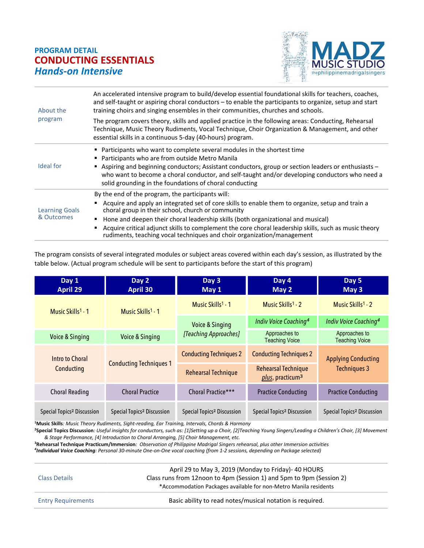## **PROGRAM DETAIL CONDUCTING ESSENTIALS** *Hands-on Intensive*



| About the<br>program                | An accelerated intensive program to build/develop essential foundational skills for teachers, coaches,<br>and self-taught or aspiring choral conductors - to enable the participants to organize, setup and start<br>training choirs and singing ensembles in their communities, churches and schools.                                                                                                                                                                            |
|-------------------------------------|-----------------------------------------------------------------------------------------------------------------------------------------------------------------------------------------------------------------------------------------------------------------------------------------------------------------------------------------------------------------------------------------------------------------------------------------------------------------------------------|
|                                     | The program covers theory, skills and applied practice in the following areas: Conducting, Rehearsal<br>Technique, Music Theory Rudiments, Vocal Technique, Choir Organization & Management, and other<br>essential skills in a continuous 5-day (40-hours) program.                                                                                                                                                                                                              |
| Ideal for                           | Participants who want to complete several modules in the shortest time<br>■ Participants who are from outside Metro Manila<br>Aspiring and beginning conductors; Assistant conductors, group or section leaders or enthusiasts -<br>who want to become a choral conductor, and self-taught and/or developing conductors who need a<br>solid grounding in the foundations of choral conducting                                                                                     |
| <b>Learning Goals</b><br>& Outcomes | By the end of the program, the participants will:<br>Acquire and apply an integrated set of core skills to enable them to organize, setup and train a<br>choral group in their school, church or community<br>Hone and deepen their choral leadership skills (both organizational and musical)<br>Acquire critical adjunct skills to complement the core choral leadership skills, such as music theory<br>rudiments, teaching vocal techniques and choir organization/management |

The program consists of several integrated modules or subject areas covered within each day's session, as illustrated by the table below. (Actual program schedule will be sent to participants before the start of this program)

| Day 1<br>April 29                      | Day 2<br><b>April 30</b>               | Day 3<br>May 1                         | Day 4<br>May 2                                             | Day 5<br>May 3                         |
|----------------------------------------|----------------------------------------|----------------------------------------|------------------------------------------------------------|----------------------------------------|
| Music Skills <sup>1</sup> 1            | Music Skills <sup>1</sup> - 1          | Music Skills <sup>1</sup> - 1          | Music Skills <sup>1</sup> - 2                              | Music Skills <sup>1</sup> - 2          |
|                                        |                                        | <b>Voice &amp; Singing</b>             | Indiv Voice Coaching <sup>4</sup>                          | Indiv Voice Coaching <sup>4</sup>      |
| <b>Voice &amp; Singing</b>             | <b>Voice &amp; Singing</b>             | [Teaching Approaches]                  | Approaches to<br><b>Teaching Voice</b>                     | Approaches to<br><b>Teaching Voice</b> |
| Intro to Choral                        | <b>Conducting Techniques 1</b>         | <b>Conducting Techniques 2</b>         | <b>Conducting Techniques 2</b>                             | <b>Applying Conducting</b>             |
| Conducting                             |                                        | <b>Rehearsal Technique</b>             | <b>Rehearsal Technique</b><br>plus, practicum <sup>3</sup> | <b>Techniques 3</b>                    |
| <b>Choral Reading</b>                  | <b>Choral Practice</b>                 | Choral Practice***                     | <b>Practice Conducting</b>                                 | <b>Practice Conducting</b>             |
| Special Topics <sup>2</sup> Discussion | Special Topics <sup>2</sup> Discussion | Special Topics <sup>2</sup> Discussion | Special Topics <sup>2</sup> Discussion                     | Special Topics <sup>2</sup> Discussion |

**1 Music Skills***: Music Theory Rudiments, Sight-reading, Ear Training, Intervals, Chords & Harmony*

**2 Special Topics Discussion***: Useful insights for conductors, such as: [1]Setting up a Choir, [2]Teaching Young Singers/Leading a Children's Choir, [3] Movement & Stage Performance, [4] Introduction to Choral Arranging, [5] Choir Management, etc.* 

**3 Rehearsal Technique Practicum/Immersion***: Observation of Philippine Madrigal Singers rehearsal, plus other Immersion activities 4 Individual Voice Coaching: Personal 30-minute One-on-One vocal coaching (from 1-2 sessions, depending on Package selected)*

Class Details April 29 to May 3, 2019 (Monday to Friday)- 40 HOURS Class runs from 12noon to 4pm (Session 1) and 5pm to 9pm (Session 2) \*Accommodation Packages available for non-Metro Manila residents Entry Requirements **Basic ability to read notes/musical notation is required.**